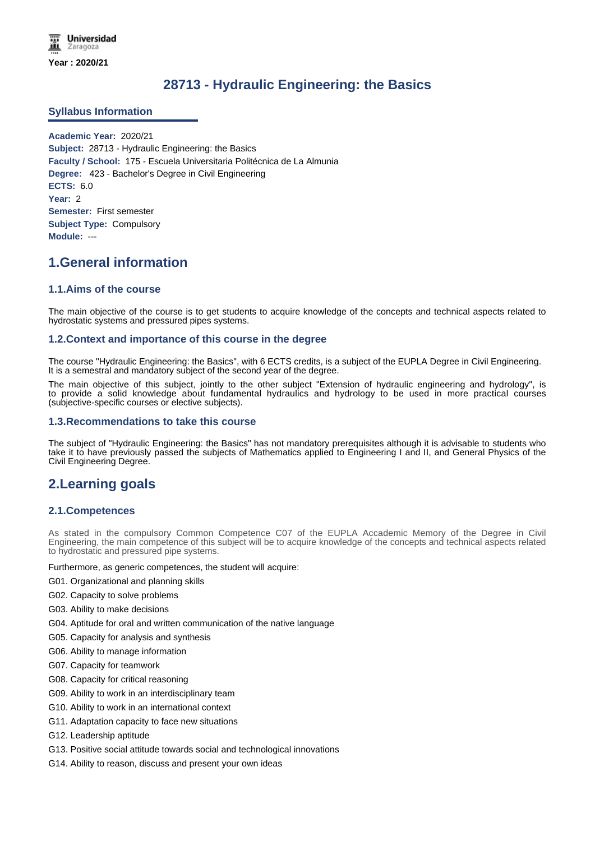# **28713 - Hydraulic Engineering: the Basics**

# **Syllabus Information**

**Academic Year:** 2020/21 **Subject:** 28713 - Hydraulic Engineering: the Basics **Faculty / School:** 175 - Escuela Universitaria Politécnica de La Almunia **Degree:** 423 - Bachelor's Degree in Civil Engineering **ECTS:** 6.0 **Year:** 2 **Semester:** First semester **Subject Type:** Compulsory **Module:** ---

# **1.General information**

# **1.1.Aims of the course**

The main objective of the course is to get students to acquire knowledge of the concepts and technical aspects related to hydrostatic systems and pressured pipes systems.

### **1.2.Context and importance of this course in the degree**

The course "Hydraulic Engineering: the Basics", with 6 ECTS credits, is a subject of the EUPLA Degree in Civil Engineering. It is a semestral and mandatory subject of the second year of the degree.

The main objective of this subject, jointly to the other subject "Extension of hydraulic engineering and hydrology", is to provide a solid knowledge about fundamental hydraulics and hydrology to be used in more practical courses (subjective-specific courses or elective subjects).

### **1.3.Recommendations to take this course**

The subject of "Hydraulic Engineering: the Basics" has not mandatory prerequisites although it is advisable to students who take it to have previously passed the subjects of Mathematics applied to Engineering I and II, and General Physics of the Civil Engineering Degree.

# **2.Learning goals**

# **2.1.Competences**

As stated in the compulsory Common Competence C07 of the EUPLA Accademic Memory of the Degree in Civil Engineering, the main competence of this subject will be to acquire knowledge of the concepts and technical aspects related to hydrostatic and pressured pipe systems.

Furthermore, as generic competences, the student will acquire:

- G01. Organizational and planning skills
- G02. Capacity to solve problems
- G03. Ability to make decisions
- G04. Aptitude for oral and written communication of the native language
- G05. Capacity for analysis and synthesis
- G06. Ability to manage information
- G07. Capacity for teamwork
- G08. Capacity for critical reasoning
- G09. Ability to work in an interdisciplinary team
- G10. Ability to work in an international context
- G11. Adaptation capacity to face new situations
- G12. Leadership aptitude
- G13. Positive social attitude towards social and technological innovations
- G14. Ability to reason, discuss and present your own ideas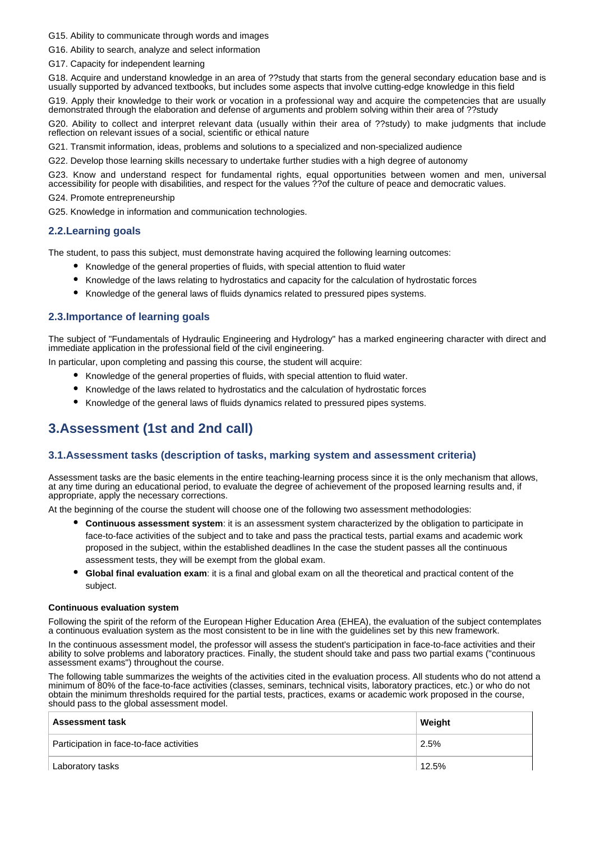G15. Ability to communicate through words and images

G16. Ability to search, analyze and select information

G17. Capacity for independent learning

G18. Acquire and understand knowledge in an area of ??study that starts from the general secondary education base and is usually supported by advanced textbooks, but includes some aspects that involve cutting-edge knowledge in this field

G19. Apply their knowledge to their work or vocation in a professional way and acquire the competencies that are usually demonstrated through the elaboration and defense of arguments and problem solving within their area of ??study

G20. Ability to collect and interpret relevant data (usually within their area of ??study) to make judgments that include reflection on relevant issues of a social, scientific or ethical nature

G21. Transmit information, ideas, problems and solutions to a specialized and non-specialized audience

G22. Develop those learning skills necessary to undertake further studies with a high degree of autonomy

G23. Know and understand respect for fundamental rights, equal opportunities between women and men, universal accessibility for people with disabilities, and respect for the values ??of the culture of peace and democratic values.

G24. Promote entrepreneurship

G25. Knowledge in information and communication technologies.

# **2.2.Learning goals**

The student, to pass this subject, must demonstrate having acquired the following learning outcomes:

- Knowledge of the general properties of fluids, with special attention to fluid water
- Knowledge of the laws relating to hydrostatics and capacity for the calculation of hydrostatic forces
- Knowledge of the general laws of fluids dynamics related to pressured pipes systems.

### **2.3.Importance of learning goals**

The subject of "Fundamentals of Hydraulic Engineering and Hydrology" has a marked engineering character with direct and immediate application in the professional field of the civil engineering.

In particular, upon completing and passing this course, the student will acquire:

- Knowledge of the general properties of fluids, with special attention to fluid water.
- Knowledge of the laws related to hydrostatics and the calculation of hydrostatic forces
- Knowledge of the general laws of fluids dynamics related to pressured pipes systems.

# **3.Assessment (1st and 2nd call)**

### **3.1.Assessment tasks (description of tasks, marking system and assessment criteria)**

Assessment tasks are the basic elements in the entire teaching-learning process since it is the only mechanism that allows, at any time during an educational period, to evaluate the degree of achievement of the proposed learning results and, if appropriate, apply the necessary corrections.

At the beginning of the course the student will choose one of the following two assessment methodologies:

- **Continuous assessment system**: it is an assessment system characterized by the obligation to participate in face-to-face activities of the subject and to take and pass the practical tests, partial exams and academic work proposed in the subject, within the established deadlines In the case the student passes all the continuous assessment tests, they will be exempt from the global exam.
- **Global final evaluation exam**: it is a final and global exam on all the theoretical and practical content of the subject.

#### **Continuous evaluation system**

Following the spirit of the reform of the European Higher Education Area (EHEA), the evaluation of the subject contemplates a continuous evaluation system as the most consistent to be in line with the guidelines set by this new framework.

In the continuous assessment model, the professor will assess the student's participation in face-to-face activities and their ability to solve problems and laboratory practices. Finally, the student should take and pass two partial exams ("continuous assessment exams") throughout the course.

The following table summarizes the weights of the activities cited in the evaluation process. All students who do not attend a minimum of 80% of the face-to-face activities (classes, seminars, technical visits, laboratory practices, etc.) or who do not obtain the minimum thresholds required for the partial tests, practices, exams or academic work proposed in the course, should pass to the global assessment model.

| <b>Assessment task</b>                   | Weight |
|------------------------------------------|--------|
| Participation in face-to-face activities | 2.5%   |
| Laboratory tasks                         | 12.5%  |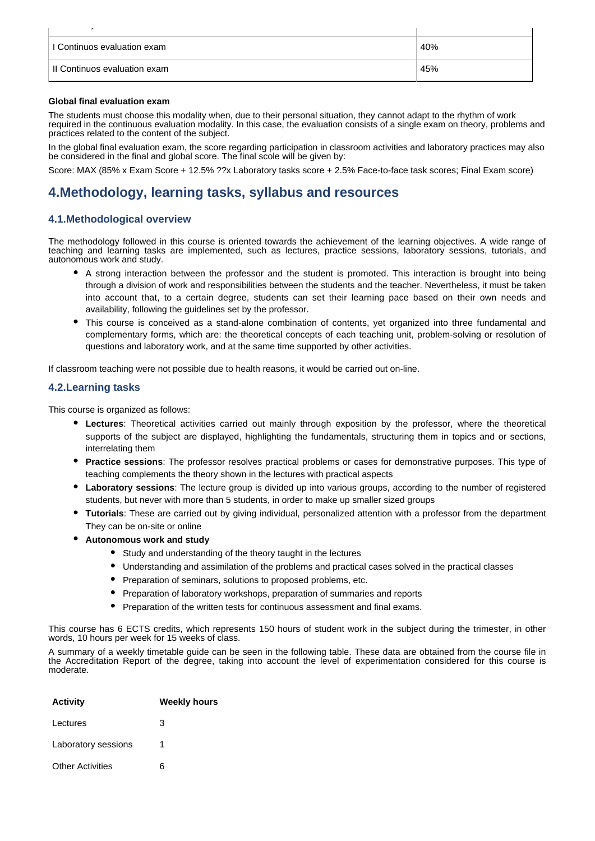| ٠                            |     |
|------------------------------|-----|
| I Continuos evaluation exam  | 40% |
| Il Continuos evaluation exam | 45% |

#### **Global final evaluation exam**

The students must choose this modality when, due to their personal situation, they cannot adapt to the rhythm of work required in the continuous evaluation modality. In this case, the evaluation consists of a single exam on theory, problems and practices related to the content of the subject.

In the global final evaluation exam, the score regarding participation in classroom activities and laboratory practices may also be considered in the final and global score. The final scole will be given by:

Score: MAX (85% x Exam Score + 12.5% ??x Laboratory tasks score + 2.5% Face-to-face task scores; Final Exam score)

# **4.Methodology, learning tasks, syllabus and resources**

# **4.1.Methodological overview**

The methodology followed in this course is oriented towards the achievement of the learning objectives. A wide range of teaching and learning tasks are implemented, such as lectures, practice sessions, laboratory sessions, tutorials, and autonomous work and study.

- A strong interaction between the professor and the student is promoted. This interaction is brought into being through a division of work and responsibilities between the students and the teacher. Nevertheless, it must be taken into account that, to a certain degree, students can set their learning pace based on their own needs and availability, following the guidelines set by the professor.
- This course is conceived as a stand-alone combination of contents, yet organized into three fundamental and complementary forms, which are: the theoretical concepts of each teaching unit, problem-solving or resolution of questions and laboratory work, and at the same time supported by other activities.

If classroom teaching were not possible due to health reasons, it would be carried out on-line.

### **4.2.Learning tasks**

This course is organized as follows:

- **Lectures**: Theoretical activities carried out mainly through exposition by the professor, where the theoretical supports of the subject are displayed, highlighting the fundamentals, structuring them in topics and or sections, interrelating them
- **Practice sessions**: The professor resolves practical problems or cases for demonstrative purposes. This type of teaching complements the theory shown in the lectures with practical aspects
- **Laboratory sessions**: The lecture group is divided up into various groups, according to the number of registered students, but never with more than 5 students, in order to make up smaller sized groups
- **Tutorials**: These are carried out by giving individual, personalized attention with a professor from the department They can be on-site or online
- **Autonomous work and study**
	- Study and understanding of the theory taught in the lectures
	- Understanding and assimilation of the problems and practical cases solved in the practical classes
	- Preparation of seminars, solutions to proposed problems, etc.
	- Preparation of laboratory workshops, preparation of summaries and reports
	- Preparation of the written tests for continuous assessment and final exams.

This course has 6 ECTS credits, which represents 150 hours of student work in the subject during the trimester, in other words, 10 hours per week for 15 weeks of class.

A summary of a weekly timetable guide can be seen in the following table. These data are obtained from the course file in the Accreditation Report of the degree, taking into account the level of experimentation considered for this course is moderate.

| <b>Activity</b>         | <b>Weekly hours</b> |
|-------------------------|---------------------|
| Lectures                | з                   |
| Laboratory sessions     |                     |
| <b>Other Activities</b> | 6                   |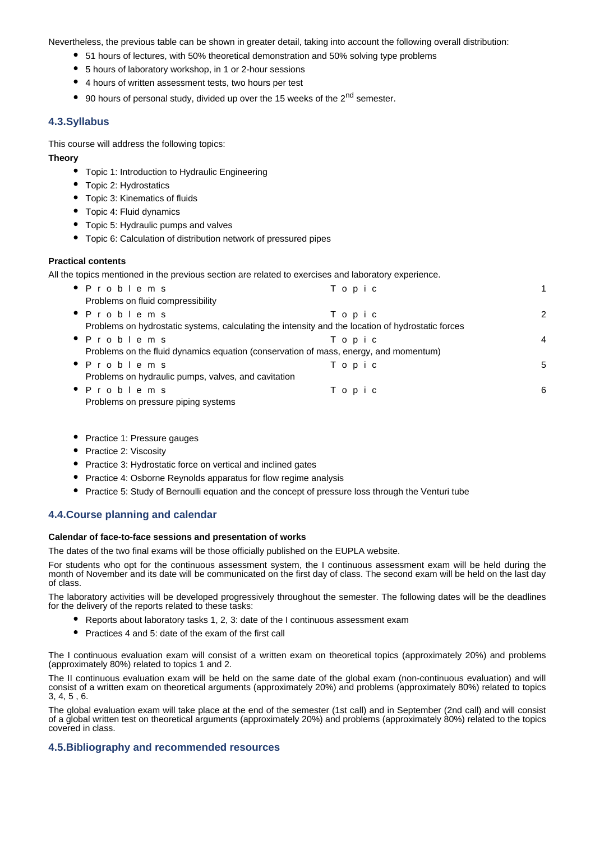Nevertheless, the previous table can be shown in greater detail, taking into account the following overall distribution:

- 51 hours of lectures, with 50% theoretical demonstration and 50% solving type problems
- 5 hours of laboratory workshop, in 1 or 2-hour sessions
- 4 hours of written assessment tests, two hours per test
- 90 hours of personal study, divided up over the 15 weeks of the  $2<sup>nd</sup>$  semester.

# **4.3.Syllabus**

This course will address the following topics:

## **Theory**

- Topic 1: Introduction to Hydraulic Engineering
- Topic 2: Hydrostatics

Other Activities 6

- Topic 3: Kinematics of fluids
- Topic 4: Fluid dynamics
- Topic 5: Hydraulic pumps and valves
- Topic 6: Calculation of distribution network of pressured pipes

# **Practical contents**

All the topics mentioned in the previous section are related to exercises and laboratory experience.

| • Problems                                                                                        | Topic |   |  |  |
|---------------------------------------------------------------------------------------------------|-------|---|--|--|
| Problems on fluid compressibility                                                                 |       |   |  |  |
| • Problems                                                                                        | Topic | 2 |  |  |
| Problems on hydrostatic systems, calculating the intensity and the location of hydrostatic forces |       |   |  |  |
| • Problems                                                                                        | Topic | 4 |  |  |
| Problems on the fluid dynamics equation (conservation of mass, energy, and momentum)              |       |   |  |  |
| • Problems                                                                                        | Topic | 5 |  |  |
| Problems on hydraulic pumps, valves, and cavitation                                               |       |   |  |  |
| • Problems                                                                                        | Topic | 6 |  |  |
| Problems on pressure piping systems                                                               |       |   |  |  |

- Practice 1: Pressure gauges
- Practice 2: Viscosity
- Practice 3: Hydrostatic force on vertical and inclined gates
- Practice 4: Osborne Reynolds apparatus for flow regime analysis
- **•** Practice 5: Study of Bernoulli equation and the concept of pressure loss through the Venturi tube

# **4.4.Course planning and calendar**

# **Calendar of face-to-face sessions and presentation of works**

The dates of the two final exams will be those officially published on the EUPLA website.

For students who opt for the continuous assessment system, the I continuous assessment exam will be held during the month of November and its date will be communicated on the first day of class. The second exam will be held on the last day of class.

The laboratory activities will be developed progressively throughout the semester. The following dates will be the deadlines for the delivery of the reports related to these tasks:

- Reports about laboratory tasks 1, 2, 3: date of the I continuous assessment exam
- Practices 4 and 5: date of the exam of the first call

The I continuous evaluation exam will consist of a written exam on theoretical topics (approximately 20%) and problems (approximately 80%) related to topics 1 and 2.

The II continuous evaluation exam will be held on the same date of the global exam (non-continuous evaluation) and will consist of a written exam on theoretical arguments (approximately 20%) and problems (approximately 80%) related to topics 3, 4, 5 , 6.

The global evaluation exam will take place at the end of the semester (1st call) and in September (2nd call) and will consist of a global written test on theoretical arguments (approximately 20%) and problems (approximately 80%) related to the topics covered in class.

# **4.5.Bibliography and recommended resources**